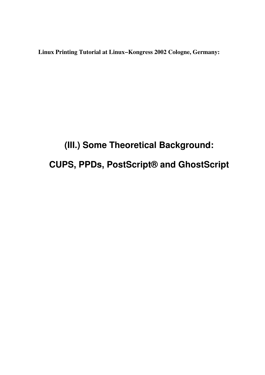**Linux Printing Tutorial at Linux−Kongress 2002 Cologne, Germany:**

# **(III.) Some Theoretical Background: CUPS, PPDs, PostScript® and GhostScript**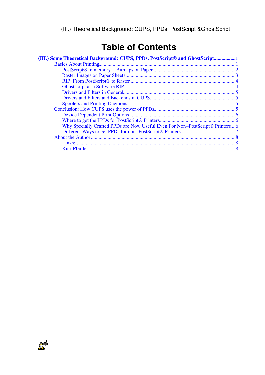# **Table of Contents**

| (III.) Some Theoretical Background: CUPS, PPDs, PostScript® and GhostScript1 |  |
|------------------------------------------------------------------------------|--|
|                                                                              |  |
|                                                                              |  |
|                                                                              |  |
|                                                                              |  |
|                                                                              |  |
|                                                                              |  |
|                                                                              |  |
|                                                                              |  |
|                                                                              |  |
|                                                                              |  |
|                                                                              |  |
| Why Specially Crafted PPDs are Now Useful Even For Non-PostScript® Printers6 |  |
|                                                                              |  |
|                                                                              |  |
|                                                                              |  |
|                                                                              |  |
|                                                                              |  |

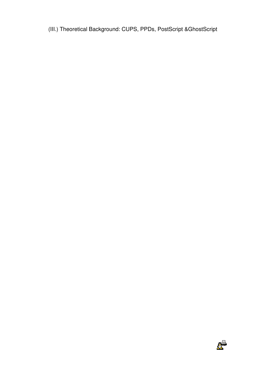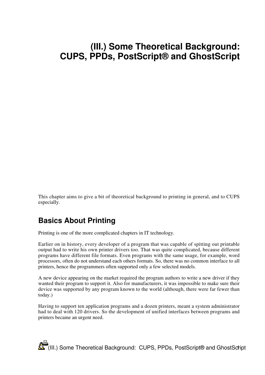<span id="page-4-0"></span>This chapter aims to give a bit of theoretical background to printing in general, and to CUPS especially.

## <span id="page-4-1"></span>**Basics About Printing**

Printing is one of the more complicated chapters in IT technology.

Earlier on in history, every developer of a program that was capable of spitting out printable output had to write his own printer drivers too. That was quite complicated, because different programs have different file formats. Even programs with the same usage, for example, word processors, often do not understand each others formats. So, there was no common interface to all printers, hence the programmers often supported only a few selected models.

A new device appearing on the market required the program authors to write a new driver if they wanted their program to support it. Also for manufacturers, it was impossible to make sure their device was supported by any program known to the world (although, there were far fewer than today.)

Having to support ten application programs and a dozen printers, meant a system administrator had to deal with 120 drivers. So the development of unified interfaces between programs and printers became an urgent need.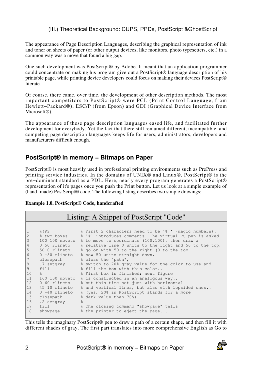The appearance of Page Description Languages, describing the graphical representation of ink and toner on sheets of paper (or other output devices, like monitors, photo typesetters, etc.) in a common way was a move that found a big gap.

One such development was PostScript® by Adobe. It meant that an application programmer could concentrate on making his program give out a PostScript® language description of his printable page, while printing device developers could focus on making their devices PostScript® literate.

Of course, there came, over time, the development of other description methods. The most important competitors to PostScript® were PCL (Print Control Language, from Hewlett−Packard®), ESC/P (from Epson) and GDI (Graphical Device Interface from Microsoft<sup>®</sup>).

The appearance of these page description languages eased life, and facilitated further development for everybody. Yet the fact that there still remained different, incompatible, and competing page description languages keeps life for users, administrators, developers and manufacturers difficult enough.

#### <span id="page-5-0"></span>**PostScript® in memory − Bitmaps on Paper**

PostScript® is most heavily used in professional printing environments such as PrePress and printing service industries. In the domains of UNIX® and Linux®, PostScript® is the pre−dominant standard as a PDL. Here, nearly every program generates a PostScript® representation of it's pages once you push the Print button. Let us look at a simple example of (hand−made) PostScript® code. The following listing describes two simple drawings:

#### **Example 1.0. PostScript® Code, handcrafted**

#### Listing: A Snippet of PostScript "Code"

| $\mathbf{1}$ | 8!PS             |               | % First 2 characters need to be '%!' (magic numbers).   |
|--------------|------------------|---------------|---------------------------------------------------------|
| $\mathbf{2}$ | % two boxes      |               | % '%' introduces comments. The virtual PS-pen is asked  |
| $\mathsf 3$  | 100 100 moveto   |               | % to move to coordinate (100,100), then draw a          |
| 4            | 0 50 rlineto     |               | % relative line 0 units to the right and 50 to the top, |
| 5            | 50 0 rlineto     |               | % go on with 50 to the right (0 to the top              |
| 6            | 0 -50 rlineto    |               | % now 50 units straight down,                           |
| 7            | closepath        |               | % close the "path",                                     |
| $\,8\,$      | .7 setgray       |               | % switch to 70% gray value for the color to use and     |
| 9            | f11              |               | % fill the box with this color                          |
| 10           | $\frac{8}{3}$    |               | % First box is finished; next figure                    |
| 11           | 160 100 moveto   |               | % is constructed in an analogous way.,                  |
| 12           | 0 60 rlineto     |               | % but this time not just with horizontal                |
| 13           | 45 10 rlineto    |               | % and vertical lines, but also with lopsided ones       |
| 14           | $0 - 40$ rlineto |               | % (yes, 20% in PostScript stands for a more             |
| 15           | closepath        |               | % dark value than 70%).                                 |
| 16           | .2 setgray       | $\frac{6}{5}$ |                                                         |
| 17           | fill             |               | % The closing command "showpage" tells                  |
| 18           | showpage         |               | % the printer to eject the page                         |
|              |                  |               |                                                         |

This tells the imaginary PostScript® pen to draw a path of a certain shape, and then fill it with different shades of gray. The first part translates into more comprehensive English as Go to

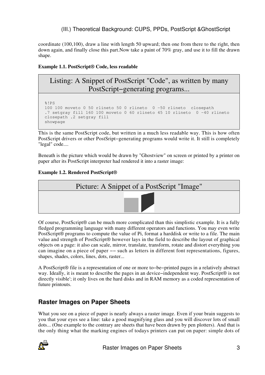coordinate (100,100), draw a line with length 50 upward; then one from there to the right, then down again, and finally close this part.Now take a paint of 70% gray, and use it to fill the drawn shape.

#### **Example 1.1. PostScript® Code, less readable**

### Listing: A Snippet of PostScript "Code", as written by many PostScript−generating programs...

```
 %!PS 
100 100 moveto 0 50 rlineto 50 0 rlineto 0 −50 rlineto closepath 
.7 setgray fill 160 100 moveto 0 60 rlineto 45 10 rlineto 0 −40 rlineto 
closepath .2 setgray fill 
showpage
```
This is the same PostScript code, but written in a much less readable way. This is how often PostScript drivers or other PostSript−generating programs would write it. It still is completely "legal" code....

Beneath is the picture which would be drawn by "Ghostview" on screen or printed by a printer on paper after its PostScript interpreter had rendered it into a raster image:

#### **Example 1.2. Rendered PostScript®**



Of course, PostScript® can be much more complicated than this simplistic example. It is a fully fledged programming language with many different operators and functions. You may even write PostScript® programs to compute the value of Pi, format a harddisk or write to a file. The main value and strength of PostScript® however lays in the field to describe the layout of graphical objects on a page: it also can scale, mirror, translate, transform, rotate and distort everything you can imagine on a piece of paper −− such as letters in different font representations, figures, shapes, shades, colors, lines, dots, raster...

A PostScript® file is a representation of one or more to−be−printed pages in a relatively abstract way. Ideally, it is meant to describe the pages in an device−independent way. PostScript® is not directly visible'; it only lives on the hard disks and in RAM memory as a coded representation of future printouts.

### <span id="page-6-0"></span>**Raster Images on Paper Sheets**

What you see on a piece of paper is nearly always a raster image. Even if your brain suggests to you that your eyes see a line: take a good magnifying glass and you will discover lots of small dots... (One example to the contrary are sheets that have been drawn by pen plotters). And that is the only thing what the marking engines of todays printers can put on paper: simple dots of

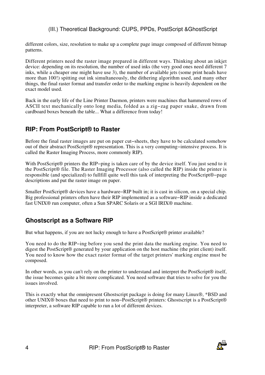different colors, size, resolution to make up a complete page image composed of different bitmap patterns.

Different printers need the raster image prepared in different ways. Thinking about an inkjet device: depending on its resolution, the number of used inks (the very good ones need different 7 inks, while a cheaper one might have use 3), the number of available jets (some print heads have more than 100!) spitting out ink simultaneously, the dithering algorithm used, and many other things, the final raster format and transfer order to the marking engine is heavily dependent on the exact model used.

Back in the early life of the Line Printer Daemon, printers were machines that hammered rows of ASCII text mechanically onto long media, folded as a zig−zag paper snake, drawn from cardboard boxes beneath the table... What a difference from today!

#### <span id="page-7-0"></span>**RIP: From PostScript® to Raster**

Before the final raster images are put on paper cut−sheets, they have to be calculated somehow out of their abstract PostScript® representation. This is a very computing–intensive process. It is called the Raster Imaging Process, more commonly RIP).

With PostScript<sup>®</sup> printers the RIP-ping is taken care of by the device itself. You just send to it the PostScript® file. The Raster Imaging Processor (also called the RIP) inside the printer is responsible (and specialized) to fullfill quite well this task of interpreting the PostScript®−page descriptions and put the raster image on paper.

Smaller PostScript® devices have a hardware−RIP built in; it is cast in silicon, on a special chip. Big professional printers often have their RIP implemented as a software−RIP inside a dedicated fast UNIX® run computer, often a Sun SPARC Solaris or a SGI IRIX® machine.

### <span id="page-7-1"></span>**Ghostscript as a Software RIP**

But what happens, if you are not lucky enough to have a PostScript<sup>®</sup> printer available?

You need to do the RIP−ing before you send the print data the marking engine. You need to digest the PostScript® generated by your application on the host machine (the print client) itself. You need to know how the exact raster format of the target printers' marking engine must be composed.

In other words, as you can't rely on the printer to understand and interpret the PostScript® itself, the issue becomes quite a bit more complicated. You need software that tries to solve for you the issues involved.

This is exactly what the omnipresent Ghostscript package is doing for many Linux®, \*BSD and other UNIX® boxes that need to print to non−PostScript® printers: Ghostscript is a PostScript® interpreter, a software RIP capable to run a lot of different devices.

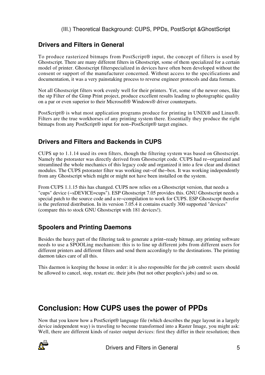### <span id="page-8-0"></span>**Drivers and Filters in General**

To produce rasterized bitmaps from PostScript® input, the concept of filters is used by Ghostscript. There are many different filters in Ghostscript, some of them specialized for a certain model of printer. Ghostscript filterspecialized in devices have often been developed without the consent or support of the manufacturer concerned. Without access to the specifications and documentation, it was a very painstaking process to reverse engineer protocols and data formats.

Not all Ghostscript filters work evenly well for their printers. Yet, some of the newer ones, like the stp Filter of the Gimp Print project, produce excellent results leading to photographic quality on a par or even superior to their Microsoft® Windows® driver counterparts.

PostScript® is what most application programs produce for printing in UNIX® and Linux®. Filters are the true workhorses of any printing system there. Essentially they produce the right bitmaps from any PostScript® input for non−PostScript® target engines.

#### <span id="page-8-1"></span>**Drivers and Filters and Backends in CUPS**

CUPS up to 1.1.14 used its own filters, though the filtering system was based on Ghostscript. Namely the pstoraster was directly derived from Ghostscript code. CUPS had re−organized and streamlined the whole mechanics of this legacy code and organized it into a few clear and distinct modules. The CUPS pstoraster filter was working out−of the−box. It was working independently from any Ghostscript which might or might not have been installed on the system.

From CUPS 1.1.15 this has changed. CUPS now relies on a Ghostscript version, that needs a "cups" device (−sDEVICE=cups"). ESP Ghostscript 7.05 provides this. GNU Ghostscript needs a special patch to the source code and a re−compilation to work for CUPS. ESP Ghostscrpt therefor is the preferred distribution. In its version 7.05.4 it contains exactly 300 supported "devices" (compare this to stock GNU Ghostscript with 181 devices!).

### <span id="page-8-2"></span>**Spoolers and Printing Daemons**

Besides the heavy part of the filtering task to generate a print−ready bitmap, any printing software needs to use a SPOOLing mechanism: this is to line up different jobs from different users for different printers and different filters and send them accordingly to the destinations. The printing daemon takes care of all this.

This daemon is keeping the house in order: it is also responsible for the job control: users should be allowed to cancel, stop, restart etc. their jobs (but not other peoples's jobs) and so on.

## <span id="page-8-3"></span>**Conclusion: How CUPS uses the power of PPDs**

Now that you know how a PostScript® language file (which describes the page layout in a largely device independent way) is traveling to become transformed into a Raster Image, you might ask: Well, there are different kinds of raster output devices: first they differ in their resolution; then

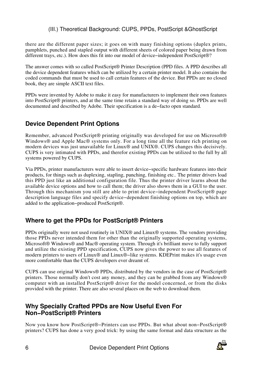there are the different paper sizes; it goes on with many finishing options (duplex prints, pamphlets, punched and stapled output with different sheets of colored paper being drawn from different trays, etc.). How does this fit into our model of device−independent PostScript®?

The answer comes with so called PostScript® Printer Description (PPD files. A PPD describes all the device dependent features which can be utilized by a certain printer model. It also contains the coded commands that must be used to call certain features of the device. But PPDs are no closed book, they are simple ASCII text files.

PPDs were invented by Adobe to make it easy for manufacturers to implement their own features into PostScript<sup>®</sup> printers, and at the same time retain a standard way of doing so. PPDs are well documented and described by Adobe. Their specification is a de−facto open standard.

#### <span id="page-9-0"></span>**Device Dependent Print Options**

Remember, advanced PostScript<sup>®</sup> printing originally was developed for use on Microsoft<sup>®</sup> Windows® and Apple Mac® systems only. For a long time all the feature rich printing on modern devices was just unavailable for Linux® and UNIX®. CUPS changes this decisively. CUPS is very intimated with PPDs, and therefor existing PPDs can be utilized to the full by all systems powered by CUPS.

Via PPDs, printer manufacturers were able to insert device−specific hardware features into their products, for things such as duplexing, stapling, punching, finishing etc.. The printer drivers load this PPD just like an additional configuration file. Thus the printer driver learns about the available device options and how to call them; the driver also shows them in a GUI to the user. Through this mechanism you still are able to print device−independent PostScript® page description language files and specify device−dependent finishing options on top, which are added to the application−produced PostScript®.

#### <span id="page-9-1"></span>**Where to get the PPDs for PostScript® Printers**

PPDs originally were not used routinely in UNIX® and Linux® systems. The vendors providing those PPDs never intended them for other than the originally supported operating systems, Microsoft® Windows® and Mac® operating system. Through it's brilliant move to fully support and utilize the existing PPD specification, CUPS now gives the power to use all features of modern printers to users of Linux® and Linux®−like systems. KDEPrint makes it's usage even more comfortable than the CUPS developers ever dreamt of.

CUPS can use original Windows® PPDs, distributed by the vendors in the case of PostScript® printers. Those normally don't cost any money, and they can be grabbed from any Windows® computer with an installed PostScript® driver for the model concerned, or from the disks provided with the printer. There are also several places on the web to download them.

#### <span id="page-9-2"></span>**Why Specially Crafted PPDs are Now Useful Even For Non−PostScript® Printers**

Now you know how PostScript®−Printers can use PPDs. But what about non−PostScript® printers? CUPS has done a very good trick: by using the same format and data structure as the

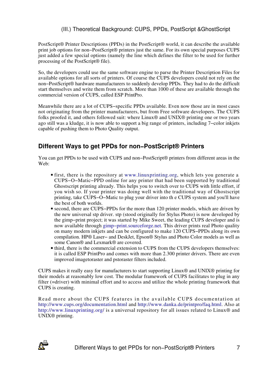PostScript® Printer Descriptions (PPDs) in the PostScript® world, it can describe the available print job options for non−PostScript® printers just the same. For its own special purposes CUPS just added a few special options (namely the line which defines the filter to be used for further processing of the PostScript® file).

So, the developers could use the same software engine to parse the Printer Description Files for available options for all sorts of printers. Of course the CUPS developers could not rely on the non−PostScript® hardware manufacturers to suddenly develop PPDs. They had to do the difficult start themselves and write them from scratch. More than 1000 of these are available through the commercial version of CUPS, called ESP PrintPro.

Meanwhile there are a lot of CUPS−specific PPDs available. Even now those are in most cases not originating from the printer manufacturers, but from Free software developers. The CUPS folks proofed it, and others followed suit: where Linux® and UNIX® printing one or two years ago still was a kludge, it is now able to support a big range of printers, including 7−color inkjets capable of pushing them to Photo Quality output.

## <span id="page-10-0"></span>**Different Ways to get PPDs for non−PostScript® Printers**

You can get PPDs to be used with CUPS and non−PostScript® printers from different areas in the Web:

- first, there is the repository at [www.linuxprinting.o](http://www.linuxprinting.org)rg, which lets you generate a CUPS−O−Matic−PPD online for any printer that had been supported by traditional Ghostscript printing already. This helps you to switch over to CUPS with little effort, if you wish so. If your printer was doing well with the traditional way of Ghostscript printing, take CUPS−O−Matic to plug your driver into th e CUPS system and you'll have the best of both worlds.
- second, there are CUPS−PPDs for the more than 120 printer models, which are driven by the new universal stp driver. stp (stood originally for Stylus Photo) is now developed by the gimp−print project; it was started by Mike Sweet, the leading CUPS developer and is now available through gimp–print.sourceforge.net. This driver prints real Photo quality on many modern inkjets and can be configured to make 120 CUPS−PPDs along its own compilation. HP® Laser− and DeskJet, Epson® Stylus and Photo Color models as well as some Canon® and Lexmark® are covered.
- third, there is the commercial extension to CUPS from the CUPS developers themselves: it is called ESP PrintPro and comes with more than 2.300 printer drivers. There are even improved imagetoraster and pstoraster filters included.

CUPS makes it really easy for manufacturers to start supporting Linux® and UNIX® printing for their models at reasonably low cost. The modular framework of CUPS facilitates to plug in any filter (=driver) with minimal effort and to access and utilize the whole printing framework that CUPS is creating.

Read more about the CUPS features in the available CUPS documentation at [http://www.cups.org/documentation.htm](http://www.cups.org/documentation.html)l and [http://www.danka.de/printpro/faq.htm](http://wwww.danka.de/printpro/faq.html)l. Also at [http://www.linuxprinting.or](http://www.linuxprinting.org/)g/ is a universal repository for all issues related to Linux<sup>®</sup> and UNIX® printing.